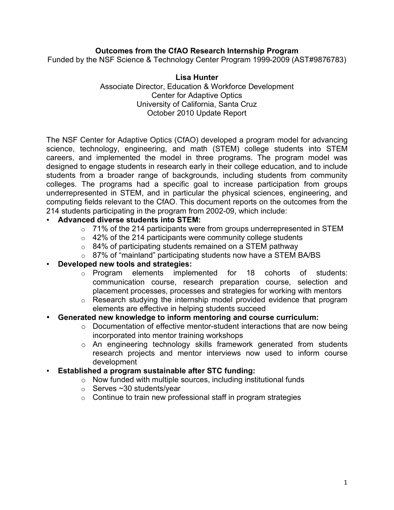# **Outcomes from the CfAO Research Internship Program**

Funded by the NSF Science & Technology Center Program 1999-2009 (AST#9876783)

#### **Lisa Hunter**

Associate Director, Education & Workforce Development Center for Adaptive Optics University of California, Santa Cruz October 2010 Update Report

The NSF Center for Adaptive Optics (CfAO) developed a program model for advancing science, technology, engineering, and math (STEM) college students into STEM careers, and implemented the model in three programs. The program model was designed to engage students in research early in their college education, and to include students from a broader range of backgrounds, including students from community colleges. The programs had a specific goal to increase participation from groups underrepresented in STEM, and in particular the physical sciences, engineering, and computing fields relevant to the CfAO. This document reports on the outcomes from the 214 students participating in the program from 2002-09, which include:

## • **Advanced diverse students into STEM:**

- o 71% of the 214 participants were from groups underrepresented in STEM
- $\circ$  42% of the 214 participants were community college students
- o 84% of participating students remained on a STEM pathway
- o 87% of "mainland" participating students now have a STEM BA/BS

#### • **Developed new tools and strategies:**

- o Program elements implemented for 18 cohorts of students: communication course, research preparation course, selection and placement processes, processes and strategies for working with mentors
- o Research studying the internship model provided evidence that program elements are effective in helping students succeed

#### • **Generated new knowledge to inform mentoring and course curriculum:**

- o Documentation of effective mentor-student interactions that are now being incorporated into mentor training workshops
- o An engineering technology skills framework generated from students research projects and mentor interviews now used to inform course development
- **Established a program sustainable after STC funding:**
	- o Now funded with multiple sources, including institutional funds
	- $\circ$  Serves ~30 students/year
	- $\circ$  Continue to train new professional staff in program strategies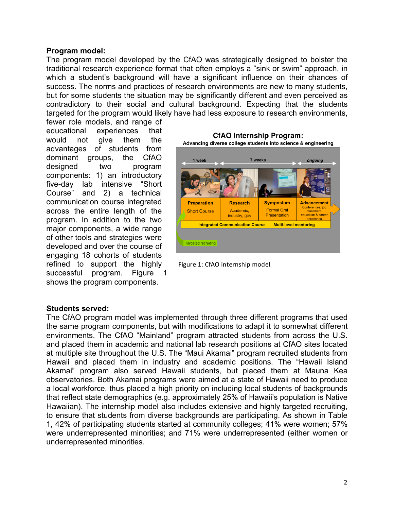### **Program model:**

The program model developed by the CfAO was strategically designed to bolster the traditional research experience format that often employs a "sink or swim" approach, in which a student's background will have a significant influence on their chances of success. The norms and practices of research environments are new to many students, but for some students the situation may be significantly different and even perceived as contradictory to their social and cultural background. Expecting that the students targeted for the program would likely have had less exposure to research environments,

fewer role models, and range of educational experiences that would not give them the advantages of students from dominant groups, the CfAO designed two program components: 1) an introductory five-day lab intensive "Short Course" and 2) a technical communication course integrated across the entire length of the program. In addition to the two major components, a wide range of other tools and strategies were developed and over the course of engaging 18 cohorts of students refined to support the highly successful program. Figure 1 shows the program components.



Figure 1: CfAO internship model

#### **Students served:**

The CfAO program model was implemented through three different programs that used the same program components, but with modifications to adapt it to somewhat different environments. The CfAO "Mainland" program attracted students from across the U.S. and placed them in academic and national lab research positions at CfAO sites located at multiple site throughout the U.S. The "Maui Akamai" program recruited students from Hawaii and placed them in industry and academic positions. The "Hawaii Island Akamai" program also served Hawaii students, but placed them at Mauna Kea observatories. Both Akamai programs were aimed at a state of Hawaii need to produce a local workforce, thus placed a high priority on including local students of backgrounds that reflect state demographics (e.g. approximately 25% of Hawaii's population is Native Hawaiian). The internship model also includes extensive and highly targeted recruiting, to ensure that students from diverse backgrounds are participating. As shown in Table 1, 42% of participating students started at community colleges; 41% were women; 57% were underrepresented minorities; and 71% were underrepresented (either women or underrepresented minorities.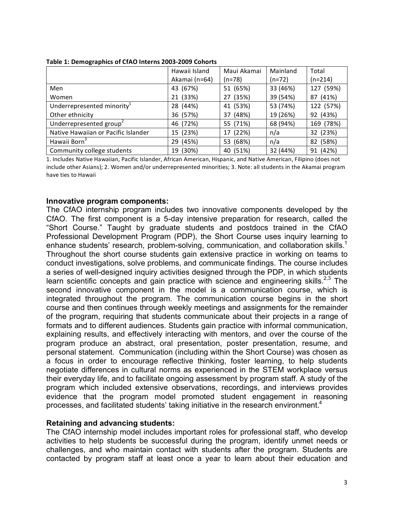|                                        | Hawaii Island | Maui Akamai | Mainland | Total     |
|----------------------------------------|---------------|-------------|----------|-----------|
|                                        | Akamai (n=64) | $(n=78)$    | $(n=72)$ | $(n=214)$ |
| Men                                    | 43 (67%)      | 51 (65%)    | 33 (46%) | 127 (59%) |
| Women                                  | 21 (33%)      | 27 (35%)    | 39 (54%) | 87 (41%)  |
| Underrepresented minority <sup>1</sup> | 28 (44%)      | 41 (53%)    | 53 (74%) | 122 (57%) |
| Other ethnicity                        | 36 (57%)      | 37 (48%)    | 19 (26%) | 92 (43%)  |
| Underrepresented group <sup>2</sup>    | 46 (72%)      | 55 (71%)    | 68 (94%) | 169 (78%) |
| Native Hawaiian or Pacific Islander    | 15 (23%)      | 17 (22%)    | n/a      | 32 (23%)  |
| Hawaii Born <sup>3</sup>               | 29 (45%)      | 53 (68%)    | n/a      | 82 (58%)  |
| Community college students             | 19 (30%)      | 40 (51%)    | 32 (44%) | 91 (42%)  |

**Table 1: Demographics of CfAO Interns 2003-2009 Cohorts** 

1. Includes Native Hawaiian, Pacific Islander, African American, Hispanic, and Native American, Filipino (does not include other Asians); 2. Women and/or underrepresented minorities; 3. Note: all students in the Akamai program have ties to Hawaii

#### **Innovative program components:**

The CfAO internship program includes two innovative components developed by the CfAO. The first component is a 5-day intensive preparation for research, called the "Short Course." Taught by graduate students and postdocs trained in the CfAO Professional Development Program (PDP), the Short Course uses inquiry learning to enhance students' research, problem-solving, communication, and collaboration skills.<sup>1</sup> Throughout the short course students gain extensive practice in working on teams to conduct investigations, solve problems, and communicate findings. The course includes a series of well-designed inquiry activities designed through the PDP, in which students learn scientific concepts and gain practice with science and engineering skills.<sup>2,3</sup> The second innovative component in the model is a communication course, which is integrated throughout the program. The communication course begins in the short course and then continues through weekly meetings and assignments for the remainder of the program, requiring that students communicate about their projects in a range of formats and to different audiences. Students gain practice with informal communication, explaining results, and effectively interacting with mentors, and over the course of the program produce an abstract, oral presentation, poster presentation, resume, and personal statement. Communication (including within the Short Course) was chosen as a focus in order to encourage reflective thinking, foster learning, to help students negotiate differences in cultural norms as experienced in the STEM workplace versus their everyday life, and to facilitate ongoing assessment by program staff. A study of the program which included extensive observations, recordings, and interviews provides evidence that the program model promoted student engagement in reasoning processes, and facilitated students' taking initiative in the research environment.<sup>4</sup>

#### **Retaining and advancing students:**

The CfAO internship model includes important roles for professional staff, who develop activities to help students be successful during the program, identify unmet needs or challenges, and who maintain contact with students after the program. Students are contacted by program staff at least once a year to learn about their education and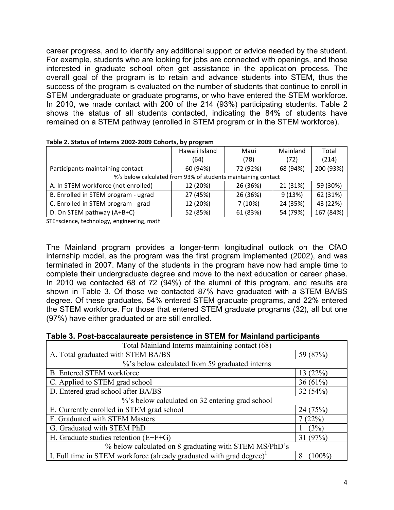career progress, and to identify any additional support or advice needed by the student. For example, students who are looking for jobs are connected with openings, and those interested in graduate school often get assistance in the application process. The overall goal of the program is to retain and advance students into STEM, thus the success of the program is evaluated on the number of students that continue to enroll in STEM undergraduate or graduate programs, or who have entered the STEM workforce. In 2010, we made contact with 200 of the 214 (93%) participating students. Table 2 shows the status of all students contacted, indicating the 84% of students have remained on a STEM pathway (enrolled in STEM program or in the STEM workforce).

|                                                               | Hawaii Island | Maui     | Mainland | Total     |  |  |
|---------------------------------------------------------------|---------------|----------|----------|-----------|--|--|
|                                                               | (64)          | (78)     | (72)     | (214)     |  |  |
| Participants maintaining contact                              | 60 (94%)      | 72 (92%) | 68 (94%) | 200 (93%) |  |  |
| %'s below calculated from 93% of students maintaining contact |               |          |          |           |  |  |
| A. In STEM workforce (not enrolled)                           | 12 (20%)      | 26 (36%) | 21 (31%) | 59 (30%)  |  |  |
| B. Enrolled in STEM program - ugrad                           | 27 (45%)      | 26 (36%) | 9(13%)   | 62 (31%)  |  |  |
| C. Enrolled in STEM program - grad                            | 12 (20%)      | 7(10%)   | 24 (35%) | 43 (22%)  |  |  |
| D. On STEM pathway (A+B+C)                                    | 52 (85%)      | 61 (83%) | 54 (79%) | 167 (84%) |  |  |

|  |  | Table 2. Status of Interns 2002-2009 Cohorts, by program |  |  |
|--|--|----------------------------------------------------------|--|--|
|  |  |                                                          |  |  |

STE=science, technology, engineering, math

The Mainland program provides a longer-term longitudinal outlook on the CfAO internship model, as the program was the first program implemented (2002), and was terminated in 2007. Many of the students in the program have now had ample time to complete their undergraduate degree and move to the next education or career phase. In 2010 we contacted 68 of 72 (94%) of the alumni of this program, and results are shown in Table 3. Of those we contacted 87% have graduated with a STEM BA/BS degree. Of these graduates, 54% entered STEM graduate programs, and 22% entered the STEM workforce. For those that entered STEM graduate programs (32), all but one (97%) have either graduated or are still enrolled.

|  | Table 3. Post-baccalaureate persistence in STEM for Mainland participants |  |
|--|---------------------------------------------------------------------------|--|
|--|---------------------------------------------------------------------------|--|

| Total Mainland Interns maintaining contact (68)                                  |                |  |  |  |
|----------------------------------------------------------------------------------|----------------|--|--|--|
| A. Total graduated with STEM BA/BS                                               | 59 (87%)       |  |  |  |
| %'s below calculated from 59 graduated interns                                   |                |  |  |  |
| <b>B.</b> Entered STEM workforce                                                 | 13(22%)        |  |  |  |
| C. Applied to STEM grad school                                                   | 36(61%)        |  |  |  |
| D. Entered grad school after BA/BS                                               | 32(54%)        |  |  |  |
| %'s below calculated on 32 entering grad school                                  |                |  |  |  |
| E. Currently enrolled in STEM grad school                                        | 24 (75%)       |  |  |  |
| F. Graduated with STEM Masters                                                   | 7(22%)         |  |  |  |
| G. Graduated with STEM PhD                                                       | (3%)           |  |  |  |
| H. Graduate studies retention $(E+F+G)$                                          | 31 $(97%)$     |  |  |  |
| % below calculated on 8 graduating with STEM MS/PhD's                            |                |  |  |  |
| I. Full time in STEM workforce (already graduated with grad degree) <sup>1</sup> | $(100\%)$<br>8 |  |  |  |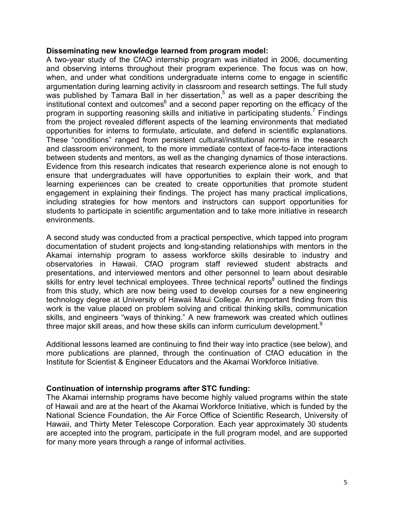#### **Disseminating new knowledge learned from program model:**

A two-year study of the CfAO internship program was initiated in 2006, documenting and observing interns throughout their program experience. The focus was on how, when, and under what conditions undergraduate interns come to engage in scientific argumentation during learning activity in classroom and research settings. The full study was published by Tamara Ball in her dissertation,<sup>5</sup> as well as a paper describing the  $\mu$  institutional context and outcomes<sup>6</sup> and a second paper reporting on the efficacy of the program in supporting reasoning skills and initiative in participating students.<sup>7</sup> Findings from the project revealed different aspects of the learning environments that mediated opportunities for interns to formulate, articulate, and defend in scientific explanations*.* These "conditions" ranged from persistent cultural/institutional norms in the research and classroom environment, to the more immediate context of face-to-face interactions between students and mentors, as well as the changing dynamics of those interactions. Evidence from this research indicates that research experience alone is not enough to ensure that undergraduates will have opportunities to explain their work, and that learning experiences can be created to create opportunities that promote student engagement in explaining their findings. The project has many practical implications, including strategies for how mentors and instructors can support opportunities for students to participate in scientific argumentation and to take more initiative in research environments.

A second study was conducted from a practical perspective, which tapped into program documentation of student projects and long-standing relationships with mentors in the Akamai internship program to assess workforce skills desirable to industry and observatories in Hawaii. CfAO program staff reviewed student abstracts and presentations, and interviewed mentors and other personnel to learn about desirable skills for entry level technical employees. Three technical reports<sup>8</sup> outlined the findings from this study, which are now being used to develop courses for a new engineering technology degree at University of Hawaii Maui College. An important finding from this work is the value placed on problem solving and critical thinking skills, communication skills, and engineers "ways of thinking." A new framework was created which outlines three major skill areas, and how these skills can inform curriculum development.<sup>9</sup>

Additional lessons learned are continuing to find their way into practice (see below), and more publications are planned, through the continuation of CfAO education in the Institute for Scientist & Engineer Educators and the Akamai Workforce Initiative.

## **Continuation of internship programs after STC funding:**

The Akamai internship programs have become highly valued programs within the state of Hawaii and are at the heart of the Akamai Workforce Initiative, which is funded by the National Science Foundation, the Air Force Office of Scientific Research, University of Hawaii, and Thirty Meter Telescope Corporation. Each year approximately 30 students are accepted into the program, participate in the full program model, and are supported for many more years through a range of informal activities.